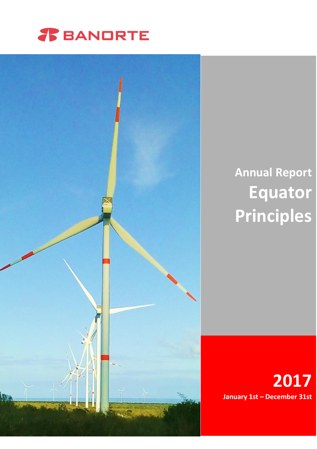



# **Annual Report Equator Principles**

**2017 January 1st – December 31st**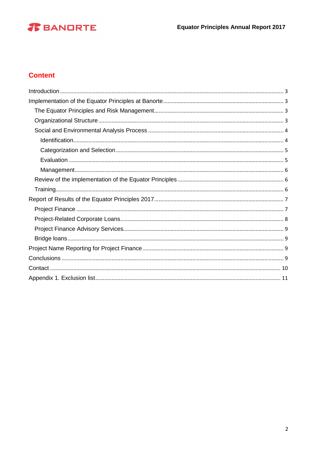# *T* BANDRTE

# **Content**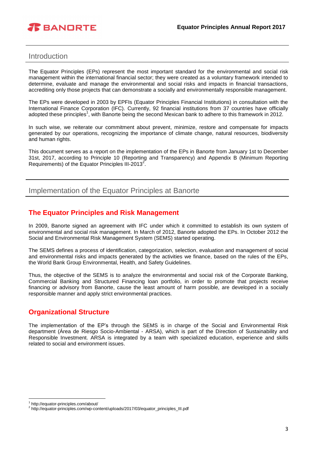

#### <span id="page-2-0"></span>Introduction

The Equator Principles (EPs) represent the most important standard for the environmental and social risk management within the international financial sector; they were created as a voluntary framework intended to determine, evaluate and manage the environmental and social risks and impacts in financial transactions, accrediting only those projects that can demonstrate a socially and environmentally responsible management.

The EPs were developed in 2003 by EPFIs (Equator Principles Financial Institutions) in consultation with the International Finance Corporation (IFC). Currently, 92 financial institutions from 37 countries have officially adopted these principles<sup>1</sup>, with Banorte being the second Mexican bank to adhere to this framework in 2012.

In such wise, we reiterate our commitment about prevent, minimize, restore and compensate for impacts generated by our operations, recognizing the importance of climate change, natural resources, biodiversity and human rights.

This document serves as a report on the implementation of the EPs in Banorte from January 1st to December 31st, 2017, according to Principle 10 (Reporting and Transparency) and Appendix B (Minimum Reporting Requirements) of the Equator Principles III-2013<sup>2</sup>.

<span id="page-2-1"></span>Implementation of the Equator Principles at Banorte

#### <span id="page-2-2"></span>**The Equator Principles and Risk Management**

In 2009, Banorte signed an agreement with IFC under which it committed to establish its own system of environmental and social risk management. In March of 2012, Banorte adopted the EPs. In October 2012 the Social and Environmental Risk Management System (SEMS) started operating.

The SEMS defines a process of identification, categorization, selection, evaluation and management of social and environmental risks and impacts generated by the activities we finance, based on the rules of the EPs, the World Bank Group Environmental, Health, and Safety Guidelines.

Thus, the objective of the SEMS is to analyze the environmental and social risk of the Corporate Banking, Commercial Banking and Structured Financing loan portfolio, in order to promote that projects receive financing or advisory from Banorte, cause the least amount of harm possible, are developed in a socially responsible manner and apply strict environmental practices.

#### <span id="page-2-3"></span>**Organizational Structure**

The implementation of the EP's through the SEMS is in charge of the Social and Environmental Risk department (Área de Riesgo Socio-Ambiental - ARSA), which is part of the Direction of Sustainability and Responsible Investment. ARSA is integrated by a team with specialized education, experience and skills related to social and environment issues.

 $\overline{a}$ 1 http://equator-principles.com/about/

<sup>&</sup>lt;sup>2</sup> http://equator-principles.com/wp-content/uploads/2017/03/equator\_principles\_III.pdf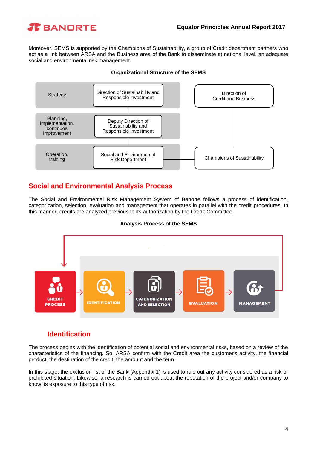

Moreover, SEMS is supported by the Champions of Sustainability, a group of Credit department partners who act as a link between ARSA and the Business area of the Bank to disseminate at national level, an adequate social and environmental risk management.



#### **Organizational Structure of the SEMS**

## <span id="page-3-0"></span>**Social and Environmental Analysis Process**

The Social and Environmental Risk Management System of Banorte follows a process of identification, categorization, selection, evaluation and management that operates in parallel with the credit procedures. In this manner, credits are analyzed previous to its authorization by the Credit Committee.

#### **Analysis Process of the SEMS**



#### **Identification**

<span id="page-3-1"></span>The process begins with the identification of potential social and environmental risks, based on a review of the characteristics of the financing. So, ARSA confirm with the Credit area the customer's activity, the financial product, the destination of the credit, the amount and the term.

In this stage, the exclusion list of the Bank (Appendix 1) is used to rule out any activity considered as a risk or prohibited situation. Likewise, a research is carried out about the reputation of the project and/or company to know its exposure to this type of risk.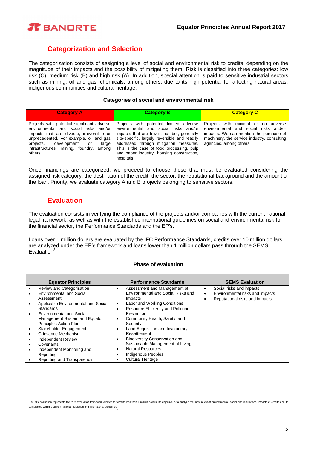

#### **Categorization and Selection**

<span id="page-4-0"></span>The categorization consists of assigning a level of social and environmental risk to credits, depending on the magnitude of their impacts and the possibility of mitigating them. Risk is classified into three categories: low risk (C), medium risk (B) and high risk (A). In addition, special attention is paid to sensitive industrial sectors such as mining, oil and gas, chemicals, among others, due to its high potential for affecting natural areas, indigenous communities and cultural heritage.

#### **Categories of social and environmental risk**

| <b>Category A</b>                                                                                                                                                                                                                                                                | <b>Category B</b>                                                                                                                                                                                                                                                                                                                | <b>Category C</b>                                                                                                                                                                                 |
|----------------------------------------------------------------------------------------------------------------------------------------------------------------------------------------------------------------------------------------------------------------------------------|----------------------------------------------------------------------------------------------------------------------------------------------------------------------------------------------------------------------------------------------------------------------------------------------------------------------------------|---------------------------------------------------------------------------------------------------------------------------------------------------------------------------------------------------|
| Projects with potential significant adverse<br>environmental and social risks and/or<br>impacts that are diverse, irreversible or<br>unprecedented. For example, oil and gas<br>projects,<br>development<br>οf<br>large<br>infrastructures, mining, foundry,<br>among<br>others. | Projects with potential limited adverse<br>environmental and social risks and/or<br>impacts that are few in number, generally<br>site-specific, largely reversible and readily<br>addressed through mitigation measures.<br>This is the case of food processing, pulp<br>and paper industry, housing construction,<br>hospitals. | Projects with minimal or no adverse<br>environmental and social risks and/or<br>impacts. We can mention the purchase of<br>machinery, the service industry, consulting<br>agencies, among others. |

Once financings are categorized, we proceed to choose those that must be evaluated considering the assigned risk category, the destination of the credit, the sector, the reputational background and the amount of the loan. Priority, we evaluate category A and B projects belonging to sensitive sectors.

#### **Evaluation**

<span id="page-4-1"></span>The evaluation consists in verifying the compliance of the projects and/or companies with the current national legal framework, as well as with the established international guidelines on social and environmental risk for the financial sector, the Performance Standards and the EP's.

Loans over 1 million dollars are evaluated by the IFC Performance Standards, credits over 10 million dollars are analyzed under the EP's framework and loans lower than 1 million dollars pass through the SEMS Evaluation $3$ .

#### **Phase of evaluation**

| <b>Equator Principles</b>           |           | <b>Performance Standards</b>         | <b>SEMS Evaluation</b>          |  |
|-------------------------------------|-----------|--------------------------------------|---------------------------------|--|
| Review and Categorisation           | ٠         | Assessment and Management of         | Social risks and impacts        |  |
| <b>Environmental and Social</b>     |           | Environmental and Social Risks and   | Environmental risks and impacts |  |
| Assessment                          |           | Impacts                              | Reputational risks and impacts  |  |
| Applicable Environmental and Social | $\bullet$ | Labor and Working Conditions         |                                 |  |
| <b>Standards</b>                    | ٠         | Resource Efficiency and Pollution    |                                 |  |
| <b>Environmental and Social</b>     |           | Prevention                           |                                 |  |
| Management System and Equator       | $\bullet$ | Community Health, Safety, and        |                                 |  |
| Principles Action Plan              |           | Security                             |                                 |  |
| Stakeholder Engagement              | ٠         | Land Acquisition and Involuntary     |                                 |  |
| Grievance Mechanism                 |           | Resettlement                         |                                 |  |
| <b>Independent Review</b>           | ٠         | <b>Biodiversity Conservation and</b> |                                 |  |
| Covenants                           |           | Sustainable Management of Living     |                                 |  |
| Independent Monitoring and          | ٠         | <b>Natural Resources</b>             |                                 |  |
| Reporting                           | ٠         | Indigenous Peoples                   |                                 |  |
| Reporting and Transparency          |           | <b>Cultural Heritage</b>             |                                 |  |

 3 SEMS evaluation represents the third evaluation framework created for credits less than 1 million dollars. Its objective is to analyze the most relevant environmental, social and reputational impacts of credits and its compliance with the current national legislation and international guidelines .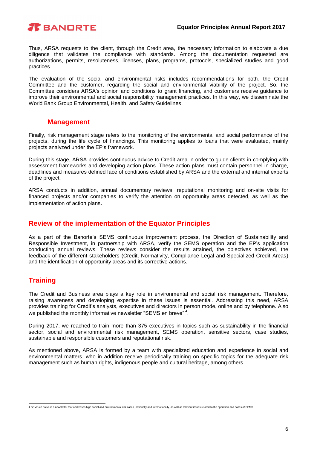

Thus, ARSA requests to the client, through the Credit area, the necessary information to elaborate a due diligence that validates the compliance with standards. Among the documentation requested are authorizations, permits, resoluteness, licenses, plans, programs, protocols, specialized studies and good practices.

The evaluation of the social and environmental risks includes recommendations for both, the Credit Committee and the customer, regarding the social and environmental viability of the project. So, the Committee considers ARSA's opinion and conditions to grant financing, and customers receive guidance to improve their environmental and social responsibility management practices. In this way, we disseminate the World Bank Group Environmental, Health, and Safety Guidelines.

#### **Management**

<span id="page-5-0"></span>Finally, risk management stage refers to the monitoring of the environmental and social performance of the projects, during the life cycle of financings. This monitoring applies to loans that were evaluated, mainly projects analyzed under the EP's framework.

During this stage, ARSA provides continuous advice to Credit area in order to guide clients in complying with assessment frameworks and developing action plans. These action plans must contain personnel in charge, deadlines and measures defined face of conditions established by ARSA and the external and internal experts of the project.

ARSA conducts in addition, annual documentary reviews, reputational monitoring and on-site visits for financed projects and/or companies to verify the attention on opportunity areas detected, as well as the implementation of action plans.

#### <span id="page-5-1"></span>**Review of the implementation of the Equator Principles**

As a part of the Banorte's SEMS continuous improvement process, the Direction of Sustainability and Responsible Investment, in partnership with ARSA, verify the SEMS operation and the EP's application conducting annual reviews. These reviews consider the results attained, the objectives achieved, the feedback of the different stakeholders (Credit, Normativity, Compliance Legal and Specialized Credit Areas) and the identification of opportunity areas and its corrective actions.

# <span id="page-5-2"></span>**Training**

The Credit and Business area plays a key role in environmental and social risk management. Therefore, raising awareness and developing expertise in these issues is essential. Addressing this need, ARSA provides training for Credit's analysts, executives and directors in person mode, online and by telephone. Also we published the monthly informative newsletter "SEMS en breve"<sup>4</sup>.

During 2017, we reached to train more than 375 executives in topics such as sustainability in the financial sector, social and environmental risk management, SEMS operation, sensitive sectors, case studies, sustainable and responsible customers and reputational risk.

As mentioned above, ARSA is formed by a team with specialized education and experience in social and environmental matters, who in addition receive periodically training on specific topics for the adequate risk management such as human rights, indigenous people and cultural heritage, among others.

 4 SEMS en breve is a newsletter that addresses high social and environmental risk cases, nationally and internationally, as well as relevant issues related to the operation and bases of SEMS.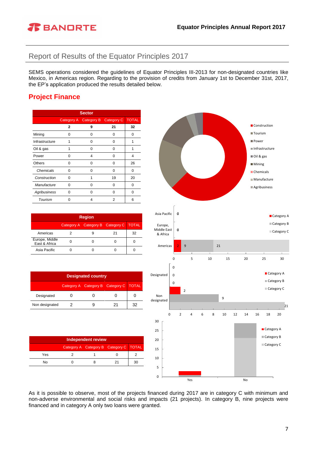

# <span id="page-6-0"></span>Report of Results of the Equator Principles 2017

SEMS operations considered the guidelines of Equator Principles III-2013 for non-designated countries like Mexico, in Americas region. Regarding to the provision of credits from January 1st to December 31st, 2017, the EP's application produced the results detailed below.

# <span id="page-6-1"></span>**Project Finance**

| <b>Sector</b>  |             |            |            |              |  |
|----------------|-------------|------------|------------|--------------|--|
|                | Category A  | Category B | Category C | <b>TOTAL</b> |  |
|                | $\mathbf 2$ | 9          | 21         | 32           |  |
| Mining         | n           | ი          | 0          | 0            |  |
| Infrastructure | 1           | O          | 0          | 1            |  |
| Oil & gas      | 1           | ი          | 0          | 1            |  |
| Power          | ŋ           | 4          | O          | 4            |  |
| Others         | n           | O          | 0          | 26           |  |
| Chemicals      | n           | ŋ          | 0          | $\Omega$     |  |
| Construction   | O           | 1          | 19         | 20           |  |
| Manufacture    | O           | ŋ          | 0          | O            |  |
| Agribusiness   | O           | O          | 0          | O            |  |
| Tourism        | O           | 4          | 2          | 6            |  |

| <b>Region</b>                            |  |  |    |    |  |
|------------------------------------------|--|--|----|----|--|
| Category A Category B Category C   TOTAL |  |  |    |    |  |
| Americas                                 |  |  | 21 | 32 |  |
| Europe, Middle<br>East & Africa          |  |  |    |    |  |
| Asia Pacific                             |  |  |    |    |  |

| <b>Designated country</b>                |  |  |  |    |  |
|------------------------------------------|--|--|--|----|--|
| Category A Category B Category C   TOTAL |  |  |  |    |  |
| Designated                               |  |  |  |    |  |
| Non designated                           |  |  |  | 32 |  |

| <b>Independent review</b> |  |  |                                          |    |  |
|---------------------------|--|--|------------------------------------------|----|--|
|                           |  |  | Category A Category B Category C   TOTAL |    |  |
| Yes                       |  |  |                                          |    |  |
| No                        |  |  |                                          | зc |  |



As it is possible to observe, most of the projects financed during 2017 are in category C with minimum and non-adverse environmental and social risks and impacts (21 projects). In category B, nine projects were financed and in category A only two loans were granted.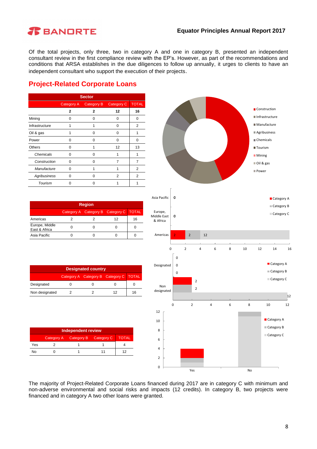#### **Equator Principles Annual Report 2017**

# **R** BANDRTE

Of the total projects, only three, two in category A and one in category B, presented an independent consultant review in the first compliance review with the EP's. However, as part of the recommendations and conditions that ARSA establishes in the due diligences to follow up annually, it urges to clients to have an independent consultant who support the execution of their projects.

# <span id="page-7-0"></span>**Project-Related Corporate Loans**

| <b>Sector</b>       |                                                      |   |          |    |  |  |
|---------------------|------------------------------------------------------|---|----------|----|--|--|
|                     | <b>Category C</b><br><b>Category B</b><br>Category A |   |          |    |  |  |
|                     | $\overline{2}$                                       | 2 | 12       | 16 |  |  |
| Mining              | ი                                                    | ŋ | 0        | 0  |  |  |
| Infrastructure      | 1                                                    |   | 0        | 2  |  |  |
| Oil & gas           | 1                                                    | ŋ | $\Omega$ | 1  |  |  |
| Power               | O                                                    | n | $\Omega$ | 0  |  |  |
| <b>Others</b>       | O                                                    |   | 12       | 13 |  |  |
| Chemicals           | O                                                    | n |          |    |  |  |
| Construction        | ŋ                                                    | ∩ | 7        | 7  |  |  |
| Manufacture         | O                                                    |   |          | 2  |  |  |
| <b>Agribusiness</b> | O                                                    | ŋ | 2        | 2  |  |  |
| Tourism             | U                                                    | 0 |          |    |  |  |

| <b>Region</b>                          |  |  |    |    |  |
|----------------------------------------|--|--|----|----|--|
| Category A Category B Category C TOTAL |  |  |    |    |  |
| Americas                               |  |  | 12 | 16 |  |
| Europe, Middle<br>East & Africa        |  |  |    |    |  |
| Asia Pacific                           |  |  |    |    |  |

| <b>Designated country</b>              |  |  |    |    |  |
|----------------------------------------|--|--|----|----|--|
| Category A Category B Category C TOTAL |  |  |    |    |  |
| Designated                             |  |  |    |    |  |
| Non designated                         |  |  | 12 | 16 |  |

| <b>Independent review</b> |                                                  |  |  |  |  |  |
|---------------------------|--------------------------------------------------|--|--|--|--|--|
|                           | Category A Category B Category C<br><b>TOTAL</b> |  |  |  |  |  |
| Yes                       |                                                  |  |  |  |  |  |
| N٥                        |                                                  |  |  |  |  |  |



The majority of Project-Related Corporate Loans financed during 2017 are in category C with minimum and non-adverse environmental and social risks and impacts (12 credits). In category B, two projects were financed and in category A two other loans were granted.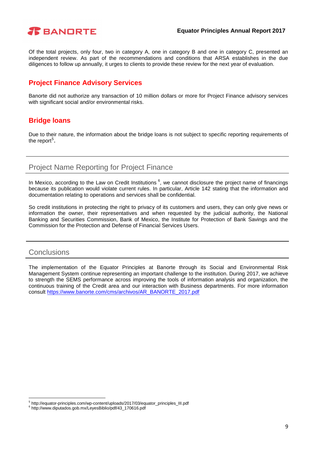

Of the total projects, only four, two in category A, one in category B and one in category C, presented an independent review. As part of the recommendations and conditions that ARSA establishes in the due diligences to follow up annually, it urges to clients to provide these review for the next year of evaluation.

## <span id="page-8-0"></span>**Project Finance Advisory Services**

Banorte did not authorize any transaction of 10 million dollars or more for Project Finance advisory services with significant social and/or environmental risks.

## <span id="page-8-1"></span>**Bridge loans**

Due to their nature, the information about the bridge loans is not subject to specific reporting requirements of the report<sup>5</sup>.

# <span id="page-8-2"></span>Project Name Reporting for Project Finance

In Mexico, according to the Law on Credit Institutions <sup>6</sup>, we cannot disclosure the project name of financings because its publication would violate current rules. In particular, Article 142 stating that the information and documentation relating to operations and services shall be confidential.

So credit institutions in protecting the right to privacy of its customers and users, they can only give news or information the owner, their representatives and when requested by the judicial authority, the National Banking and Securities Commission, Bank of Mexico, the Institute for Protection of Bank Savings and the Commission for the Protection and Defense of Financial Services Users.

#### <span id="page-8-3"></span>**Conclusions**

1

The implementation of the Equator Principles at Banorte through its Social and Environmental Risk Management System continue representing an important challenge to the institution. During 2017, we achieve to strength the SEMS performance across improving the tools of information analysis and organization, the continuous training of the Credit area and our interaction with Business departments. For more information consult [https://www.banorte.com/cms/archivos/AR\\_BANORTE\\_2017.pdf](https://www.banorte.com/cms/archivos/AR_BANORTE_2017.pdf)

<sup>5</sup> http://equator-principles.com/wp-content/uploads/2017/03/equator\_principles\_III.pdf

<sup>6</sup> http://www.diputados.gob.mx/LeyesBiblio/pdf/43\_170616.pdf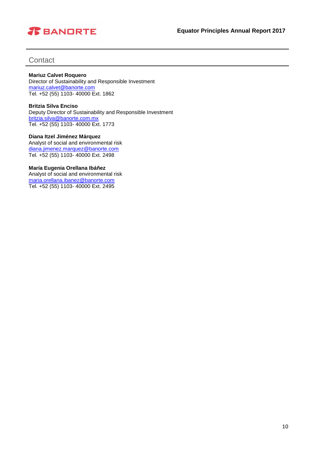# *R* BANDRTE

## <span id="page-9-0"></span>**Contact**

#### **Mariuz Calvet Roquero**

Director of Sustainability and Responsible Investment [mariuz.calvet@banorte.com](mailto:mariuz.calvet@banorte.com) Tel. +52 (55) 1103- 40000 Ext. 1862

#### **Britzia Silva Enciso** Deputy Director of Sustainability and Responsible Investment [britzia.silva@banorte.com.mx](mailto:britzia.silva@banorte.com.mx) Tel. +52 (55) 1103- 40000 Ext. 1773

**Diana Itzel Jiménez Márquez** Analyst of social and environmental risk [diana.jimenez.marquez@banorte.com](mailto:diana.jimenez.marquez@banorte.com) Tel. +52 (55) 1103- 40000 Ext. 2498

#### **María Eugenia Orellana Ibáñez**

Analyst of social and environmental risk [maria.orellana.ibanez@banorte.com](mailto:maria.orellana.ibanez@banorte.com) Tel. +52 (55) 1103- 40000 Ext. 2495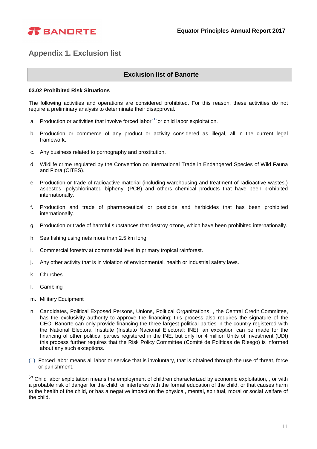

# <span id="page-10-0"></span>**Appendix 1. Exclusion list**

#### **Exclusion list of Banorte**

#### **03.02 Prohibited Risk Situations**

The following activities and operations are considered prohibited. For this reason, these activities do not require a preliminary analysis to determinate their disapproval.

- a. Production or activities that involve forced labor  $(1)$  or child labor exploitation.
- b. Production or commerce of any product or activity considered as illegal, all in the current legal framework.
- c. Any business related to pornography and prostitution.
- d. Wildlife crime regulated by the Convention on International Trade in Endangered Species of Wild Fauna and Flora (CITES).
- e. Production or trade of radioactive material (including warehousing and treatment of radioactive wastes.) asbestos, polychlorinated biphenyl (PCB) and others chemical products that have been prohibited internationally.
- f. Production and trade of pharmaceutical or pesticide and herbicides that has been prohibited internationally.
- g. Production or trade of harmful substances that destroy ozone, which have been prohibited internationally.
- h. Sea fishing using nets more than 2.5 km long.
- i. Commercial forestry at commercial level in primary tropical rainforest.
- j. Any other activity that is in violation of environmental, health or industrial safety laws.
- k. Churches
- l. Gambling
- m. Military Equipment
- n. Candidates, Political Exposed Persons, Unions, Political Organizations. , the Central Credit Committee, has the exclusivity authority to approve the financing; this process also requires the signature of the CEO. Banorte can only provide financing the three largest political parties in the country registered with the National Electoral Institute (Instituto Nacional Electoral: INE); an exception can be made for the financing of other political parties registered in the INE, but only for 4 million Units of Investment (UDI) this process further requires that the Risk Policy Committee (Comité de Políticas de Riesgo) is informed about any such exceptions.
- (1) Forced labor means all labor or service that is involuntary, that is obtained through the use of threat, force or punishment.

<sup>(2)</sup> Child labor exploitation means the employment of children characterized by economic exploitation, , or with a probable risk of danger for the child, or interferes with the formal education of the child, or that causes harm to the health of the child, or has a negative impact on the physical, mental, spiritual, moral or social welfare of the child.